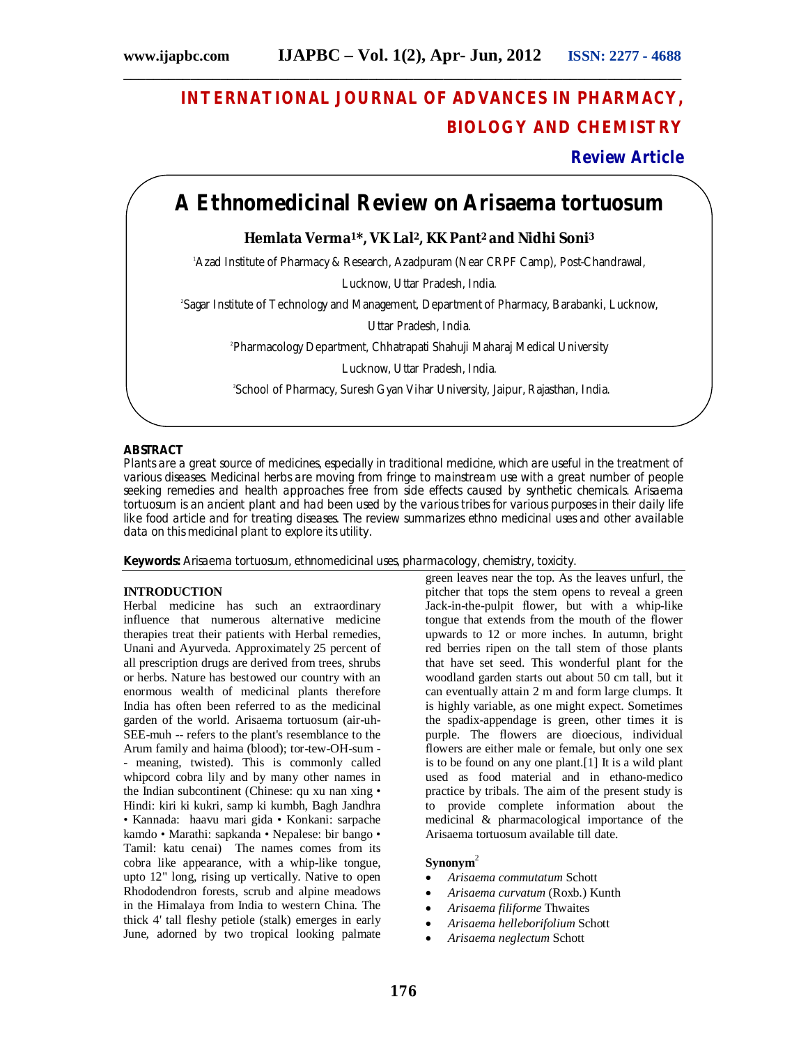# **INTERNATIONAL JOURNAL OF ADVANCES IN PHARMACY, BIOLOGY AND CHEMISTRY**

**\_\_\_\_\_\_\_\_\_\_\_\_\_\_\_\_\_\_\_\_\_\_\_\_\_\_\_\_\_\_\_\_\_\_\_\_\_\_\_\_\_\_\_\_\_\_\_\_\_\_\_\_\_\_\_\_\_\_\_\_\_\_\_\_\_\_\_\_\_\_\_\_\_\_\_**

## **Review Article**

## **A Ethnomedicinal Review on Arisaema tortuosum**

## **Hemlata Verma1\*, VK Lal2, KK Pant<sup>2</sup> and Nidhi Soni<sup>3</sup>**

<sup>1</sup>Azad Institute of Pharmacy & Research, Azadpuram (Near CRPF Camp), Post-Chandrawal,

Lucknow, Uttar Pradesh, India.

2 Sagar Institute of Technology and Management, Department of Pharmacy, Barabanki, Lucknow,

Uttar Pradesh, India.

2 Pharmacology Department, Chhatrapati Shahuji Maharaj Medical University

Lucknow, Uttar Pradesh, India.

3 School of Pharmacy, Suresh Gyan Vihar University, Jaipur, Rajasthan, India.

## **ABSTRACT**

Plants are a great source of medicines, especially in traditional medicine, which are useful in the treatment of various diseases. Medicinal herbs are moving from fringe to mainstream use with a great number of people seeking remedies and health approaches free from side effects caused by synthetic chemicals. Arisaema tortuosum is an ancient plant and had been used by the various tribes for various purposes in their daily life like food article and for treating diseases. The review summarizes ethno medicinal uses and other available data on this medicinal plant to explore its utility.

**Keywords:** Arisaema tortuosum, ethnomedicinal uses, pharmacology, chemistry, toxicity.

## **INTRODUCTION**

Herbal medicine has such an extraordinary influence that numerous alternative medicine therapies treat their patients with Herbal remedies, Unani and Ayurveda. Approximately 25 percent of all prescription drugs are derived from trees, shrubs or herbs. Nature has bestowed our country with an enormous wealth of medicinal plants therefore India has often been referred to as the medicinal garden of the world. Arisaema tortuosum (air-uh-SEE-muh -- refers to the plant's resemblance to the Arum family and haima (blood); tor-tew-OH-sum - - meaning, twisted). This is commonly called whipcord cobra lily and by many other names in the Indian subcontinent (Chinese: qu xu nan xing • Hindi: kiri ki kukri, samp ki kumbh, Bagh Jandhra • Kannada: haavu mari gida • Konkani: sarpache kamdo • Marathi: sapkanda • Nepalese: bir bango • Tamil: katu cenai) The names comes from its cobra like appearance, with a whip-like tongue, upto 12" long, rising up vertically. Native to open Rhododendron forests, scrub and alpine meadows in the Himalaya from India to western China. The thick 4' tall fleshy petiole (stalk) emerges in early June, adorned by two tropical looking palmate

green leaves near the top. As the leaves unfurl, the pitcher that tops the stem opens to reveal a green Jack-in-the-pulpit flower, but with a whip-like tongue that extends from the mouth of the flower upwards to 12 or more inches. In autumn, bright red berries ripen on the tall stem of those plants that have set seed. This wonderful plant for the woodland garden starts out about 50 cm tall, but it can eventually attain 2 m and form large clumps. It is highly variable, as one might expect. Sometimes the spadix-appendage is green, other times it is purple. The flowers are dioecious, individual flowers are either male or female, but only one sex is to be found on any one plant.[1] It is a wild plant used as food material and in ethano-medico practice by tribals. The aim of the present study is to provide complete information about the medicinal & pharmacological importance of the Arisaema tortuosum available till date.

## **Synonym**<sup>2</sup>

- *Arisaema commutatum* Schott
- *Arisaema curvatum* (Roxb.) Kunth
- *Arisaema filiforme* Thwaites
- *Arisaema helleborifolium* Schott
- *Arisaema neglectum* Schott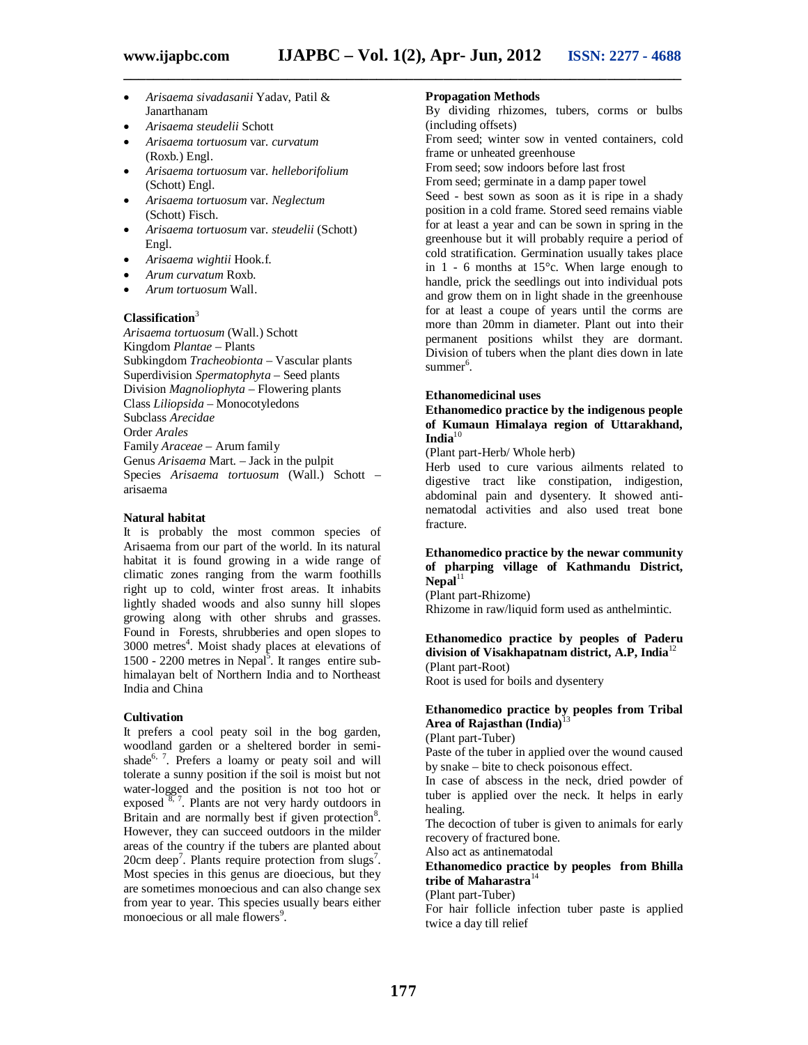**\_\_\_\_\_\_\_\_\_\_\_\_\_\_\_\_\_\_\_\_\_\_\_\_\_\_\_\_\_\_\_\_\_\_\_\_\_\_\_\_\_\_\_\_\_\_\_\_\_\_\_\_\_\_\_\_\_\_\_\_\_\_\_\_\_\_\_\_\_\_\_\_\_\_\_**

- *Arisaema sivadasanii* Yadav, Patil & Janarthanam
- *Arisaema steudelii* Schott
- *Arisaema tortuosum* var. *curvatum* (Roxb.) Engl.
- *Arisaema tortuosum* var. *helleborifolium* (Schott) Engl.
- *Arisaema tortuosum* var. *Neglectum* (Schott) Fisch.
- *Arisaema tortuosum* var. *steudelii* (Schott) Engl.
- *Arisaema wightii* Hook.f.
- *Arum curvatum* Roxb.
- *Arum tortuosum* Wall.

## **Classification**<sup>3</sup>

*Arisaema tortuosum* (Wall.) Schott Kingdom *Plantae* – Plants Subkingdom *Tracheobionta* – Vascular plants Superdivision *Spermatophyta* – Seed plants Division *Magnoliophyta* – Flowering plants Class *Liliopsida* – Monocotyledons Subclass *Arecidae* Order *Arales* Family *Araceae* – Arum family Genus *Arisaema* Mart. – Jack in the pulpit Species *Arisaema tortuosum* (Wall.) Schott – arisaema

## **Natural habitat**

It is probably the most common species of Arisaema from our part of the world. In its natural habitat it is found growing in a wide range of climatic zones ranging from the warm foothills right up to cold, winter frost areas. It inhabits lightly shaded woods and also sunny hill slopes growing along with other shrubs and grasses. Found in Forests, shrubberies and open slopes to 3000 metres<sup>4</sup>. Moist shady places at elevations of 1500 - 2200 metres in Nepal<sup>5</sup>. It ranges entire subhimalayan belt of Northern India and to Northeast India and China

#### **Cultivation**

It prefers a cool peaty soil in the bog garden, woodland garden or a sheltered border in semishade<sup>6, 7</sup>. Prefers a loamy or peaty soil and will tolerate a sunny position if the soil is moist but not water-logged and the position is not too hot or exposed  $8, 7$ . Plants are not very hardy outdoors in Britain and are normally best if given protection<sup>8</sup>. However, they can succeed outdoors in the milder areas of the country if the tubers are planted about 20cm deep<sup>7</sup>. Plants require protection from slugs<sup>7</sup>. Most species in this genus are dioecious, but they are sometimes monoecious and can also change sex from year to year. This species usually bears either monoecious or all male flowers<sup>9</sup>.

#### **Propagation Methods**

By dividing rhizomes, tubers, corms or bulbs (including offsets)

From seed; winter sow in vented containers, cold frame or unheated greenhouse

From seed; sow indoors before last frost

From seed; germinate in a damp paper towel

Seed - best sown as soon as it is ripe in a shady position in a cold frame. Stored seed remains viable for at least a year and can be sown in spring in the greenhouse but it will probably require a period of cold stratification. Germination usually takes place in 1 - 6 months at 15°c. When large enough to handle, prick the seedlings out into individual pots and grow them on in light shade in the greenhouse for at least a coupe of years until the corms are more than 20mm in diameter. Plant out into their permanent positions whilst they are dormant. Division of tubers when the plant dies down in late summer<sup>6</sup>.

#### **Ethanomedicinal uses**

#### **Ethanomedico practice by the indigenous people of Kumaun Himalaya region of Uttarakhand,**   $\mathbf{India}^{10}$

(Plant part-Herb/ Whole herb)

Herb used to cure various ailments related to digestive tract like constipation, indigestion, abdominal pain and dysentery. It showed antinematodal activities and also used treat bone fracture.

## **Ethanomedico practice by the newar community of pharping village of Kathmandu District,**   $N$ epal<sup>11</sup>

(Plant part-Rhizome) Rhizome in raw/liquid form used as anthelmintic.

## **Ethanomedico practice by peoples of Paderu division of Visakhapatnam district, A.P, India**<sup>12</sup> (Plant part-Root)

Root is used for boils and dysentery

## **Ethanomedico practice by peoples from Tribal Area of Rajasthan (India)**<sup>13</sup>

(Plant part-Tuber)

Paste of the tuber in applied over the wound caused by snake – bite to check poisonous effect.

In case of abscess in the neck, dried powder of tuber is applied over the neck. It helps in early healing.

The decoction of tuber is given to animals for early recovery of fractured bone.

Also act as antinematodal

#### **Ethanomedico practice by peoples from Bhilla tribe of Maharastra**<sup>14</sup>

(Plant part-Tuber)

For hair follicle infection tuber paste is applied twice a day till relief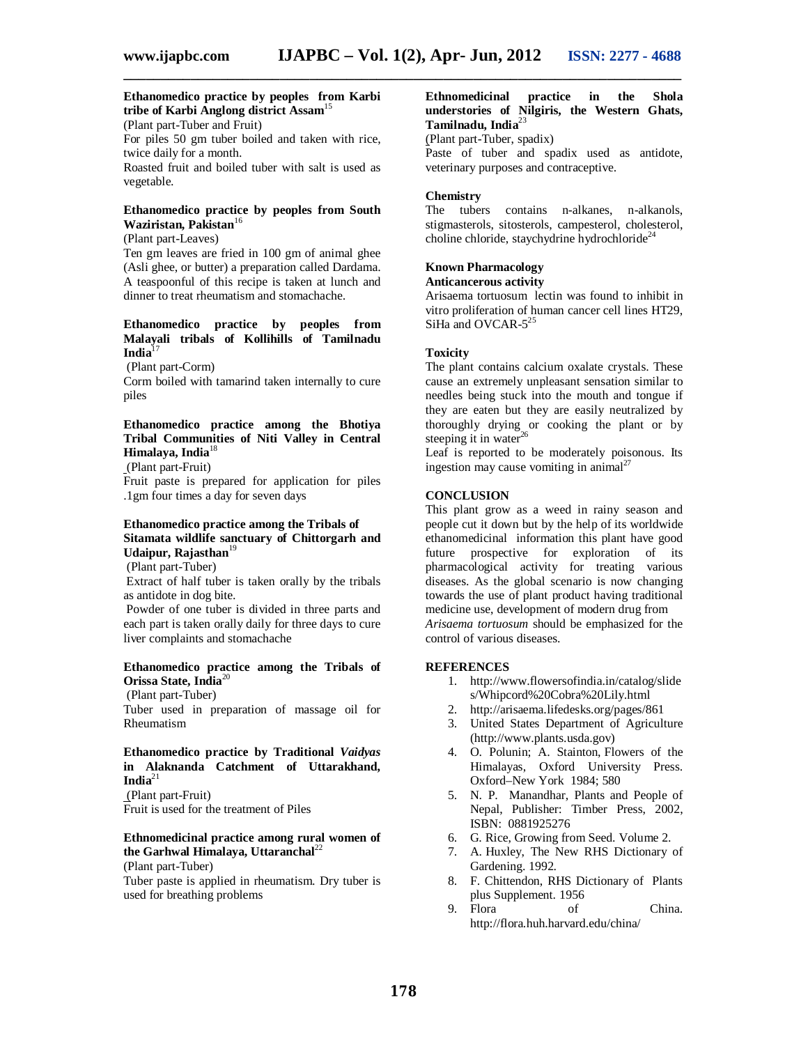## **Ethanomedico practice by peoples from Karbi tribe of Karbi Anglong district Assam**<sup>15</sup>

(Plant part-Tuber and Fruit)

For piles 50 gm tuber boiled and taken with rice, twice daily for a month.

Roasted fruit and boiled tuber with salt is used as vegetable.

#### **Ethanomedico practice by peoples from South Waziristan, Pakistan**<sup>16</sup>

(Plant part-Leaves)

Ten gm leaves are fried in 100 gm of animal ghee (Asli ghee, or butter) a preparation called Dardama. A teaspoonful of this recipe is taken at lunch and dinner to treat rheumatism and stomachache.

#### **Ethanomedico practice by peoples from Malayali tribals of Kollihills of Tamilnadu**  India<sup>17</sup>

(Plant part-Corm)

Corm boiled with tamarind taken internally to cure piles

## **Ethanomedico practice among the Bhotiya Tribal Communities of Niti Valley in Central Himalaya, India**<sup>18</sup>

(Plant part-Fruit)

Fruit paste is prepared for application for piles .1gm four times a day for seven days

## **Ethanomedico practice among the Tribals of Sitamata wildlife sanctuary of Chittorgarh and**  Udaipur, Rajasthan<sup>19</sup>

(Plant part-Tuber)

Extract of half tuber is taken orally by the tribals as antidote in dog bite.

Powder of one tuber is divided in three parts and each part is taken orally daily for three days to cure liver complaints and stomachache

## **Ethanomedico practice among the Tribals of Orissa State, India**<sup>20</sup>

(Plant part-Tuber)

Tuber used in preparation of massage oil for Rheumatism

## **Ethanomedico practice by Traditional** *Vaidyas* **in Alaknanda Catchment of Uttarakhand,**   $\mathbf{India}^{21}$

(Plant part-Fruit) Fruit is used for the treatment of Piles

## **Ethnomedicinal practice among rural women of**  the Garhwal Himalaya, Uttaranchal<sup>22</sup>

(Plant part-Tuber)

Tuber paste is applied in rheumatism. Dry tuber is used for breathing problems

## **Ethnomedicinal practice in the Shola understories of Nilgiris, the Western Ghats, Tamilnadu, India**<sup>23</sup>

(Plant part-Tuber, spadix)

Paste of tuber and spadix used as antidote, veterinary purposes and contraceptive.

## **Chemistry**

**\_\_\_\_\_\_\_\_\_\_\_\_\_\_\_\_\_\_\_\_\_\_\_\_\_\_\_\_\_\_\_\_\_\_\_\_\_\_\_\_\_\_\_\_\_\_\_\_\_\_\_\_\_\_\_\_\_\_\_\_\_\_\_\_\_\_\_\_\_\_\_\_\_\_\_**

The tubers contains n-alkanes, n-alkanols, stigmasterols, sitosterols, campesterol, cholesterol, choline chloride, staychydrine hydrochloride<sup>24</sup>

## **Known Pharmacology**

## **Anticancerous activity**

Arisaema tortuosum lectin was found to inhibit in vitro proliferation of human cancer cell lines HT29, SiHa and OVCAR- $5^{25}$ 

## **Toxicity**

The plant contains calcium oxalate crystals. These cause an extremely unpleasant sensation similar to needles being stuck into the mouth and tongue if they are eaten but they are easily neutralized by thoroughly drying or cooking the plant or by steeping it in water<sup>26</sup>

Leaf is reported to be moderately poisonous. Its ingestion may cause vomiting in animal<sup>27</sup>

## **CONCLUSION**

This plant grow as a weed in rainy season and people cut it down but by the help of its worldwide ethanomedicinal information this plant have good future prospective for exploration of its pharmacological activity for treating various diseases. As the global scenario is now changing towards the use of plant product having traditional medicine use, development of modern drug from *Arisaema tortuosum* should be emphasized for the control of various diseases.

## **REFERENCES**

- 1. http://www.flowersofindia.in/catalog/slide s/Whipcord%20Cobra%20Lily.html
- 2. http://arisaema.lifedesks.org/pages/861
- 3. United States Department of Agriculture (http://www.plants.usda.gov)
- 4. O. Polunin; A. Stainton, Flowers of the Himalayas, Oxford University Press. Oxford–New York 1984; 580
- 5. N. P. Manandhar, Plants and People of Nepal, Publisher: Timber Press, 2002, ISBN: 0881925276
- 6. G. Rice, Growing from Seed. Volume 2.
- 7. A. Huxley, The New RHS Dictionary of Gardening. 1992.
- 8. F. Chittendon, RHS Dictionary of Plants plus Supplement. 1956
- 9. Flora of China. http://flora.huh.harvard.edu/china/